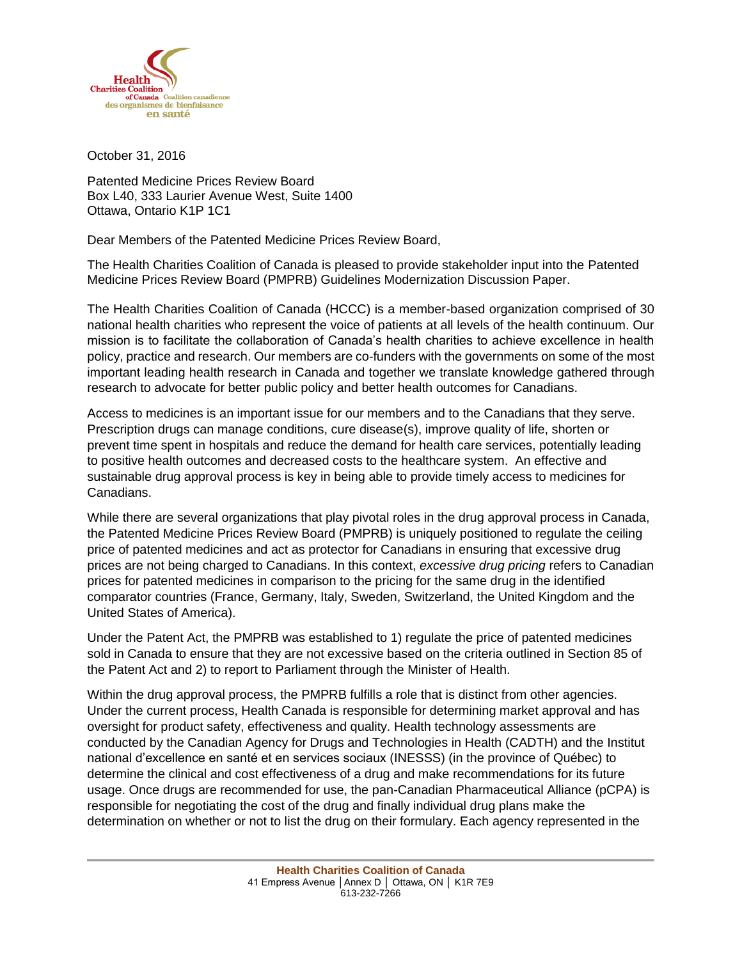

October 31, 2016

Patented Medicine Prices Review Board Box L40, 333 Laurier Avenue West, Suite 1400 Ottawa, Ontario K1P 1C1

Dear Members of the Patented Medicine Prices Review Board,

The Health Charities Coalition of Canada is pleased to provide stakeholder input into the Patented Medicine Prices Review Board (PMPRB) Guidelines Modernization Discussion Paper.

The Health Charities Coalition of Canada (HCCC) is a member-based organization comprised of 30 national health charities who represent the voice of patients at all levels of the health continuum. Our mission is to facilitate the collaboration of Canada's health charities to achieve excellence in health policy, practice and research. Our members are co-funders with the governments on some of the most important leading health research in Canada and together we translate knowledge gathered through research to advocate for better public policy and better health outcomes for Canadians.

Access to medicines is an important issue for our members and to the Canadians that they serve. Prescription drugs can manage conditions, cure disease(s), improve quality of life, shorten or prevent time spent in hospitals and reduce the demand for health care services, potentially leading to positive health outcomes and decreased costs to the healthcare system. An effective and sustainable drug approval process is key in being able to provide timely access to medicines for Canadians.

While there are several organizations that play pivotal roles in the drug approval process in Canada, the Patented Medicine Prices Review Board (PMPRB) is uniquely positioned to regulate the ceiling price of patented medicines and act as protector for Canadians in ensuring that excessive drug prices are not being charged to Canadians. In this context, *excessive drug pricing* refers to Canadian prices for patented medicines in comparison to the pricing for the same drug in the identified comparator countries (France, Germany, Italy, Sweden, Switzerland, the United Kingdom and the United States of America).

Under the Patent Act, the PMPRB was established to 1) regulate the price of patented medicines sold in Canada to ensure that they are not excessive based on the criteria outlined in Section 85 of the Patent Act and 2) to report to Parliament through the Minister of Health.

Within the drug approval process, the PMPRB fulfills a role that is distinct from other agencies. Under the current process, Health Canada is responsible for determining market approval and has oversight for product safety, effectiveness and quality. Health technology assessments are conducted by the Canadian Agency for Drugs and Technologies in Health (CADTH) and the Institut national d'excellence en santé et en services sociaux (INESSS) (in the province of Québec) to determine the clinical and cost effectiveness of a drug and make recommendations for its future usage. Once drugs are recommended for use, the pan-Canadian Pharmaceutical Alliance (pCPA) is responsible for negotiating the cost of the drug and finally individual drug plans make the determination on whether or not to list the drug on their formulary. Each agency represented in the